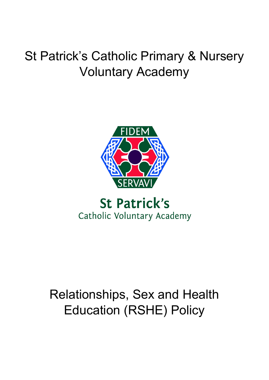# St Patrick's Catholic Primary & Nursery Voluntary Academy



## **St Patrick's** Catholic Voluntary Academy

# Relationships, Sex and Health Education (RSHE) Policy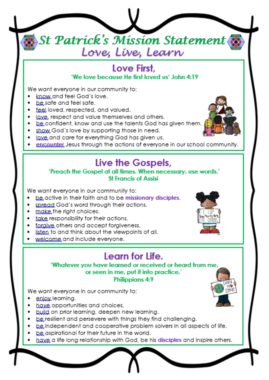# St Patrick's Mission Statement Love, Líve, Learn

#### Love First. 'We love because He first loved us' John 4:19

We want everyone in our community to:

- know and feel God's love.
- be safe and feel safe.
- feel loved, respected, and valued.
- laye, respect and value themselves and others.
- be confident, know and use the talents God has given them.
- show God's love by supporting those in need.
- laye and care for everything God has given us.
- encounter Jesus through the actions of everyone in our school community.

### Live the Gospels,

#### 'Preach the Gospel at all times. When necessary, use words.' **St Francis of Assisi**

We want everyone in our community to:

- be active in their faith and to be missionary disciples.
- spread God's word through their actions.
- make, the right choices.
- take responsibility for their actions.
- forgive others and accept forgiveness.
- listen to and think about the viewpoints of all.
- welcome and include everyone.

## Learn for Life.

'Whatever you have learned or received or heard from me, or seen in me, put it into practice.' **Philippians 4:9** 

We want everyone in our community to:

- eniox learning.
- have opportunities and choices.
- build on prior learning, deepen new learning.
- be resilient and persevere with things they find challenging.
- be independent and cooperative problem solvers in all aspects of life.
- be aspirational for their future in the world.
- have a life long relationship with God, be his disciples and inspire others.

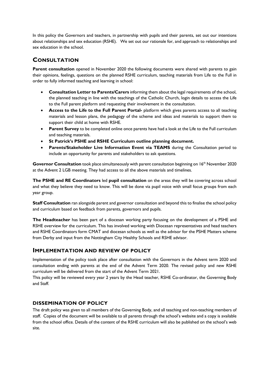In this policy the Governors and teachers, in partnership with pupils and their parents, set out our intentions about relationships and sex education (RSHE). We set out our rationale for, and approach to relationships and sex education in the school.

#### **CONSULTATION**

**Parent consultation** opened in November 2020 the following documents were shared with parents to gain their opinions, feelings, questions on the planned RSHE curriculum, teaching materials from Life to the Full in order to fully informed teaching and learning in school:

- **Consultation Letter to Parents/Carers** informing them about the legal requirements of the school, the planned teaching in line with the teachings of the Catholic Church, login details to access the Life to the Full parent platform and requesting their involvement in the consultation.
- **Access to the Life to the Full Parent Portal-** platform which gives parents access to all teaching materials and lesson plans, the pedagogy of the scheme and ideas and materials to support them to support their child at home with RSHE.
- **Parent Survey** to be completed online once parents have had a look at the Life to the Full curriculum and teaching materials.
- **St Patrick's PSHE and RSHE Curriculum outline planning document.**
- **Parents/Stakeholder Live Information Event via TEAMS** during the Consultation period to include an opportunity for parents and stakeholders to ask questions.

Governor Consultation took place simultaneously with parent consultation beginning on 16<sup>th</sup> November 2020 at the Advent 2 LGB meeting. They had access to all the above materials and timelines.

**The PSHE and RE Coordinators** led **pupil consultation** on the areas they will be covering across school and what they believe they need to know. This will be done via pupil voice with small focus groups from each year group.

**Staff Consultation** ran alongside parent and governor consultation and beyond this to finalise the school policy and curriculum based on feedback from parents, governors and pupils.

**The Headteacher** has been part of a diocesan working party focusing on the development of a PSHE and RSHE overview for the curriculum. This has involved working with Diocesan representatives and head teachers and RSHE Coordinators form CMAT and diocesan schools as well as the advisor for the PSHE Matters scheme from Derby and input from the Nottingham City Healthy Schools and RSHE advisor.

#### **IMPLEMENTATION AND REVIEW OF POLICY**

Implementation of the policy took place after consultation with the Governors in the Advent term 2020 and consultation ending with parents at the end of the Advent Term 2020. The revised policy and new RSHE curriculum will be delivered from the start of the Advent Term 2021.

This policy will be reviewed every year 2 years by the Head teacher, RSHE Co-ordinator, the Governing Body and Staff.

#### **DISSEMINATION OF POLICY**

The draft policy was given to all members of the Governing Body, and all teaching and non-teaching members of staff. Copies of the document will be available to all parents through the school's website and a copy is available from the school office. Details of the content of the RSHE curriculum will also be published on the school's web site.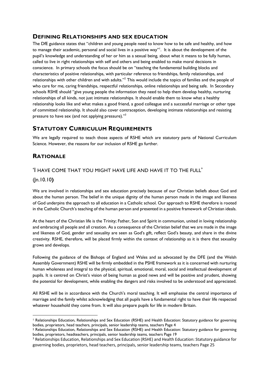#### **DEFINING RELATIONSHIPS AND SEX EDUCATION**

The DfE guidance states that "children and young people need to know how to be safe and healthy, and how to manage their academic, personal and social lives in a positive way"<sup>1</sup>. It is about the development of the pupil's knowledge and understanding of her or him as a sexual being, about what it means to be fully human, called to live in right relationships with self and others and being enabled to make moral decisions in conscience. In primary schools the focus should be on "teaching the fundamental building blocks and characteristics of positive relationships, with particular reference to friendships, family relationships, and relationships with other children and with adults."2 This would include the topics of families and the people of who care for me, caring friendships, respectful relationships, online relationships and being safe. In Secondary schools RSHE should "give young people the information they need to help them develop healthy, nurturing relationships of all kinds, not just intimate relationships. It should enable them to know what a healthy relationship looks like and what makes a good friend, a good colleague and a successful marriage or other type of committed relationship. It should also cover contraception, developing intimate relationships and resisting pressure to have sex (and not applying pressure)."<sup>3</sup>

#### **STATUTORY CURRICULUM REQUIREMENTS**

We are legally required to teach those aspects of RSHE which are statutory parts of National Curriculum Science. However, the reasons for our inclusion of RSHE go further.

#### **RATIONALE**

#### 'I HAVE COME THAT YOU MIGHT HAVE LIFE AND HAVE IT TO THE FULL'

(Jn.10.10**)**

We are involved in relationships and sex education precisely because of our Christian beliefs about God and about the human person. The belief in the unique dignity of the human person made in the image and likeness of God underpins the approach to all education in a Catholic school. Our approach to RSHE therefore is rooted in the Catholic Church's teaching of the human person and presented in a positive framework of Christian ideals.

At the heart of the Christian life is the Trinity; Father, Son and Spirit in communion, united in loving relationship and embracing all people and all creation. As a consequence of the Christian belief that we are made in the image and likeness of God, gender and sexuality are seen as God's gift, reflect God's beauty, and share in the divine creativity. RSHE, therefore, will be placed firmly within the context of relationship as it is there that sexuality grows and develops.

Following the guidance of the Bishops of England and Wales and as advocated by the DFE (and the Welsh Assembly Government) RSHE will be firmly embedded in the PSHE framework as it is concerned with nurturing human wholeness and integral to the physical, spiritual, emotional, moral, social and intellectual development of pupils. It is centred on Christ's vision of being human as good news and will be positive and prudent, showing the potential for development, while enabling the dangers and risks involved to be understood and appreciated.

All RSHE will be in accordance with the Church's moral teaching. It will emphasise the central importance of marriage and the family whilst acknowledging that all pupils have a fundamental right to have their life respected whatever household they come from. It will also prepare pupils for life in modern Britain.

<sup>1</sup> Relationships Education, Relationships and Sex Education (RSHE) and Health Education: Statutory guidance for governing bodies, proprietors, head teachers, principals, senior leadership teams, teachers Page 4

<sup>2</sup> Relationships Education, Relationships and Sex Education (RSHE) and Health Education: Statutory guidance for governing bodies, proprietors, headteachers, principals, senior leadership teams, teachers Page 19

<sup>3</sup> Relationships Education, Relationships and Sex Education (RSHE) and Health Education: Statutory guidance for governing bodies, proprietors, head teachers, principals, senior leadership teams, teachers Page 25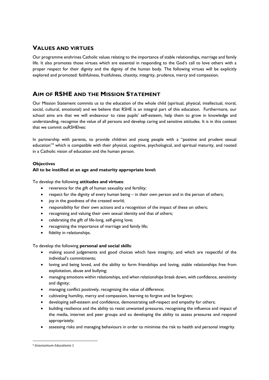#### **VALUES AND VIRTUES**

Our programme enshrines Catholic values relating to the importance of stable relationships, marriage and family life. It also promotes those virtues which are essential in responding to the God's call to love others with a proper respect for their dignity and the dignity of the human body. The following virtues will be explicitly explored and promoted: faithfulness, fruitfulness, chastity, integrity, prudence, mercy and compassion.

#### **AIM OF RSHE AND THE MISSION STATEMENT**

Our Mission Statement commits us to the education of the whole child (spiritual, physical, intellectual, moral, social, cultural, emotional) and we believe that RSHE is an integral part of this education. Furthermore, our school aims are that we will endeavour to raise pupils' self-esteem, help them to grow in knowledge and understanding, recognise the value of all persons and develop caring and sensitive attitudes. It is in this context that we commit ouRSHElves:

In partnership with parents, to provide children and young people with a "positive and prudent sexual education"4 which is compatible with their physical, cognitive, psychological, and spiritual maturity, and rooted in a Catholic vision of education and the human person.

#### **Objectives**

#### **All to be instilled at an age and maturity appropriate level:**

To develop the following **attitudes and virtues**:

- reverence for the gift of human sexuality and fertility;
- respect for the dignity of every human being in their own person and in the person of others;
- joy in the goodness of the created world;
- responsibility for their own actions and a recognition of the impact of these on others;
- recognising and valuing their own sexual identity and that of others;
- celebrating the gift of life-long, self-giving love;
- recognising the importance of marriage and family life;
- fidelity in relationships.

To develop the following **personal and social skills**:

- making sound judgements and good choices which have integrity, and which are respectful of the individual's commitments;
- loving and being loved, and the ability to form friendships and loving, stable relationships free from exploitation, abuse and bullying;
- managing emotions within relationships, and when relationships break down, with confidence, sensitivity and dignity;
- managing conflict positively, recognising the value of difference;
- cultivating humility, mercy and compassion, learning to forgive and be forgiven;
- developing self-esteem and confidence, demonstrating self-respect and empathy for others;
- building resilience and the ability to resist unwanted pressures, recognising the influence and impact of the media, internet and peer groups and so developing the ability to assess pressures and respond appropriately;
- assessing risks and managing behaviours in order to minimise the risk to health and personal integrity.

<sup>4</sup> *Gravissimum Educationis* 1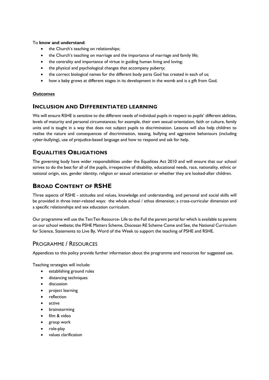#### To **know and understand**:

- the Church's teaching on relationships;
- the Church's teaching on marriage and the importance of marriage and family life;
- the centrality and importance of virtue in guiding human living and loving;
- the physical and psychological changes that accompany puberty;
- the correct biological names for the different body parts God has created in each of us;
- how a baby grows at different stages in its development in the womb and is a gift from God.

#### **Outcomes**

#### **INCLUSION AND DIFFERENTIATED LEARNING**

We will ensure RSHE is sensitive to the different needs of individual pupils in respect to pupils' different abilities, levels of maturity and personal circumstances; for example, their own sexual orientation, faith or culture, family units and is taught in a way that does not subject pupils to discrimination. Lessons will also help children to realise the nature and consequences of discrimination, teasing, bullying and aggressive behaviours (including cyber-bullying), use of prejudice-based language and how to respond and ask for help.

#### **EQUALITIES OBLIGATIONS**

The governing body have wider responsibilities under the Equalities Act 2010 and will ensure that our school strives to do the best for all of the pupils, irrespective of disability, educational needs, race, nationality, ethnic or national origin, sex, gender identity, religion or sexual orientation or whether they are looked-after children.

#### **BROAD CONTENT OF RSHE**

Three aspects of RSHE - attitudes and values, knowledge and understanding, and personal and social skills will be provided in three inter-related ways: the whole school / ethos dimension; a cross-curricular dimension and a specific relationships and sex education curriculum.

Our programme will use the Ten:Ten Resource- Life to the Full the parent portal for which is available to parents on our school website; the PSHE Matters Scheme, Diocesan RE Scheme Come and See, the National Curriculum for Science, Statements to Live By, Word of the Week to support the teaching of PSHE and RSHE.

#### PROGRAMME / RESOURCES

Appendices to this policy provide further information about the programme and resources for suggested use.

Teaching strategies will include:

- establishing ground rules
- distancing techniques
- discussion
- project learning
- reflection
- active
- brainstorming
- film & video
- group work
- role-play
- values clarification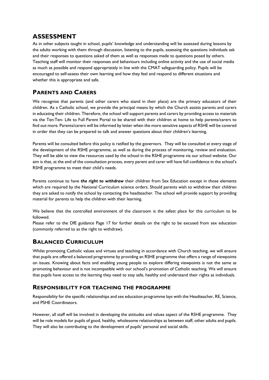#### **ASSESSMENT**

As in other subjects taught in school, pupils' knowledge and understanding will be assessed during lessons by the adults working with them through discussion, listening to the pupils, assessing the questions individuals ask and their responses to questions asked of them as well as responses made to questions posed by others. Teaching staff will monitor their responses and behaviours including online activity and the use of social media as much as possible and respond appropriately in line with the CMAT safeguarding policy. Pupils will be encouraged to self-assess their own learning and how they feel and respond to different situations and whether this is appropriate and safe.

#### **PARENTS AND CARERS**

We recognise that parents (and other carers who stand in their place) are the primary educators of their children. As a Catholic school, we provide the principal means by which the Church assists parents and carers in educating their children. Therefore, the school will support parents and carers by providing access to materials via the Ten:Ten- Life to Full Parent Portal to be shared with their children at home to help parents/carers to find out more. Parents/carers will be informed by letter when the more sensitive aspects of RSHE will be covered in order that they can be prepared to talk and answer questions about their children's learning.

Parents will be consulted before this policy is ratified by the governors. They will be consulted at every stage of the development of the RSHE programme, as well as during the process of monitoring, review and evaluation. They will be able to view the resources used by the school in the RSHE programme via our school website. Our aim is that, at the end of the consultation process, every parent and carer will have full confidence in the school's RSHE programme to meet their child's needs.

Parents continue to have *the right to withdraw* their children from Sex Education except in those elements which are required by the National Curriculum science orders. Should parents wish to withdraw their children they are asked to notify the school by contacting the headteacher. The school will provide support by providing material for parents to help the children with their learning.

We believe that the controlled environment of the classroom is the safest place for this curriculum to be followed.

Please refer to the DfE guidance Page 17 for further details on the right to be excused from sex education (commonly referred to as the right to withdraw).

#### **BALANCED CURRICULUM**

Whilst promoting Catholic values and virtues and teaching in accordance with Church teaching, we will ensure that pupils are offered a balanced programme by providing an RSHE programme that offers a range of viewpoints on issues. Knowing about facts and enabling young people to explore differing viewpoints is not the same as promoting behaviour and is not incompatible with our school's promotion of Catholic teaching. We will ensure that pupils have access to the learning they need to stay safe, healthy and understand their rights as individuals.

#### **RESPONSIBILITY FOR TEACHING THE PROGRAMME**

Responsibility for the specific relationships and sex education programme lays with the Headteacher, RE, Science, and PSHE Coordinators.

However, all staff will be involved in developing the attitudes and values aspect of the RSHE programme. They will be role models for pupils of good, healthy, wholesome relationships as between staff, other adults and pupils. They will also be contributing to the development of pupils' personal and social skills.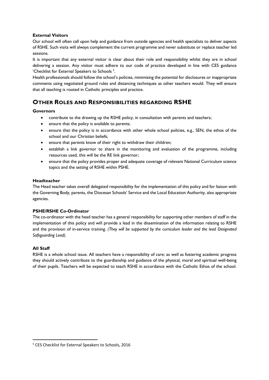#### **External Visitors**

Our school will often call upon help and guidance from outside agencies and health specialists to deliver aspects of RSHE. Such visits will always complement the current programme and never substitute or replace teacher led sessions.

It is important that any external visitor is clear about their role and responsibility whilst they are in school delivering a session. Any visitor must adhere to our code of practice developed in line with CES guidance 'Checklist for External Speakers to Schools<sup>5</sup>.

Health professionals should follow the school's policies, minimising the potential for disclosures or inappropriate comments using negotiated ground rules and distancing techniques as other teachers would. They will ensure that all teaching is rooted in Catholic principles and practice.

#### **OTHER ROLES AND RESPONSIBILITIES REGARDING RSHE**

#### **Governors**

- contribute to the drawing up the RSHE policy, in consultation with parents and teachers;
- ensure that the policy is available to parents;
- ensure that the policy is in accordance with other whole school policies, e.g., SEN, the ethos of the school and our Christian beliefs;
- ensure that parents know of their right to withdraw their children;
- establish a link governor to share in the monitoring and evaluation of the programme, including resources used, this will be the RE link governor;
- ensure that the policy provides proper and adequate coverage of relevant National Curriculum science topics and the setting of RSHE within PSHE.

#### **Headteacher**

The Head teacher takes overall delegated responsibility for the implementation of this policy and for liaison with the Governing Body, parents, the Diocesan Schools' Service and the Local Education Authority, also appropriate agencies.

#### **PSHE/RSHE Co-Ordinator**

The co-ordinator with the head teacher has a general responsibility for supporting other members of staff in the implementation of this policy and will provide a lead in the dissemination of the information relating to RSHE and the provision of in-service training. *(They will be supported by the curriculum leader and the lead Designated Safeguarding Lead).*

#### **All Staff**

RSHE is a whole school issue. All teachers have a responsibility of care; as well as fostering academic progress they should actively contribute to the guardianship and guidance of the physical, moral and spiritual well-being of their pupils. Teachers will be expected to teach RSHE in accordance with the Catholic Ethos of the school.

<sup>5</sup> CES Checklist for External Speakers to Schools, 2016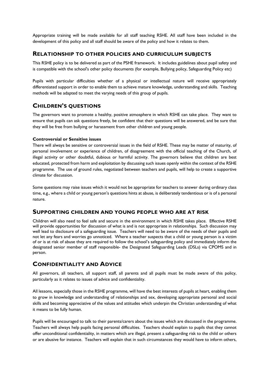Appropriate training will be made available for all staff teaching RSHE. All staff have been included in the development of this policy and all staff should be aware of the policy and how it relates to them.

#### **RELATIONSHIP TO OTHER POLICIES AND CURRICULUM SUBJECTS**

This RSHE policy is to be delivered as part of the PSHE framework. It includes guidelines about pupil safety and is compatible with the school's other policy documents (for example, Bullying policy, Safeguarding Policy etc)

Pupils with particular difficulties whether of a physical or intellectual nature will receive appropriately differentiated support in order to enable them to achieve mature knowledge, understanding and skills. Teaching methods will be adapted to meet the varying needs of this group of pupils.

#### **CHILDREN'S QUESTIONS**

The governors want to promote a healthy, positive atmosphere in which RSHE can take place. They want to ensure that pupils can ask questions freely, be confident that their questions will be answered, and be sure that they will be free from bullying or harassment from other children and young people.

#### **Controversial or Sensitive issues**

There will always be sensitive or controversial issues in the field of RSHE. These may be matter of maturity, of personal involvement or experience of children, of disagreement with the official teaching of the Church, of illegal activity or other doubtful, dubious or harmful activity. The governors believe that children are best educated, protected from harm and exploitation by discussing such issues openly within the context of the RSHE programme. The use of ground rules, negotiated between teachers and pupils, will help to create a supportive climate for discussion.

Some questions may raise issues which it would not be appropriate for teachers to answer during ordinary class time, e.g., where a child or young person's questions hints at abuse, is deliberately tendentious or is of a personal nature.

#### **SUPPORTING CHILDREN AND YOUNG PEOPLE WHO ARE AT RISK**

Children will also need to feel safe and secure in the environment in which RSHE takes place. Effective RSHE will provide opportunities for discussion of what is and is not appropriate in relationships. Such discussion may well lead to disclosure of a safeguarding issue. Teachers will need to be aware of the needs of their pupils and not let any fears and worries go unnoticed. Where a teacher suspects that a child or young person is a victim of or is at risk of abuse they are required to follow the school's safeguarding policy and immediately inform the designated senior member of staff responsible- the Designated Safeguarding Leads (DSLs) via CPOMS and in person.

#### **CONFIDENTIALITY AND ADVICE**

All governors, all teachers, all support staff, all parents and all pupils must be made aware of this policy, particularly as it relates to issues of advice and confidentiality.

All lessons, especially those in the RSHE programme, will have the best interests of pupils at heart, enabling them to grow in knowledge and understanding of relationships and sex, developing appropriate personal and social skills and becoming appreciative of the values and attitudes which underpin the Christian understanding of what it means to be fully human.

Pupils will be encouraged to talk to their parents/carers about the issues which are discussed in the programme. Teachers will always help pupils facing personal difficulties. Teachers should explain to pupils that they cannot offer unconditional confidentiality, in matters which are illegal, present a safeguarding risk to the child or others or are abusive for instance. Teachers will explain that in such circumstances they would have to inform others,